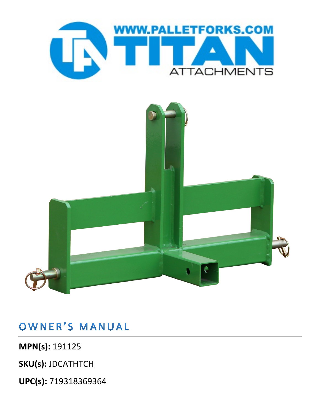

OWNER'S MANUAL

**MPN(s):** 191125

**SKU(s):** JDCATHTCH

**UPC(s):** 719318369364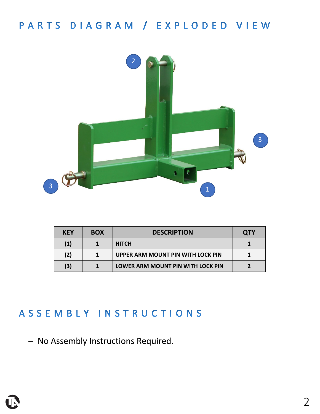

| <b>KEY</b> | <b>BOX</b> | <b>DESCRIPTION</b>                       | <b>OTY</b> |
|------------|------------|------------------------------------------|------------|
| (1)        |            | <b>HITCH</b>                             |            |
| (2)        |            | UPPER ARM MOUNT PIN WITH LOCK PIN        |            |
| (3)        |            | <b>LOWER ARM MOUNT PIN WITH LOCK PIN</b> |            |

## ASSEMBLY INSTRUCTIONS

− No Assembly Instructions Required.